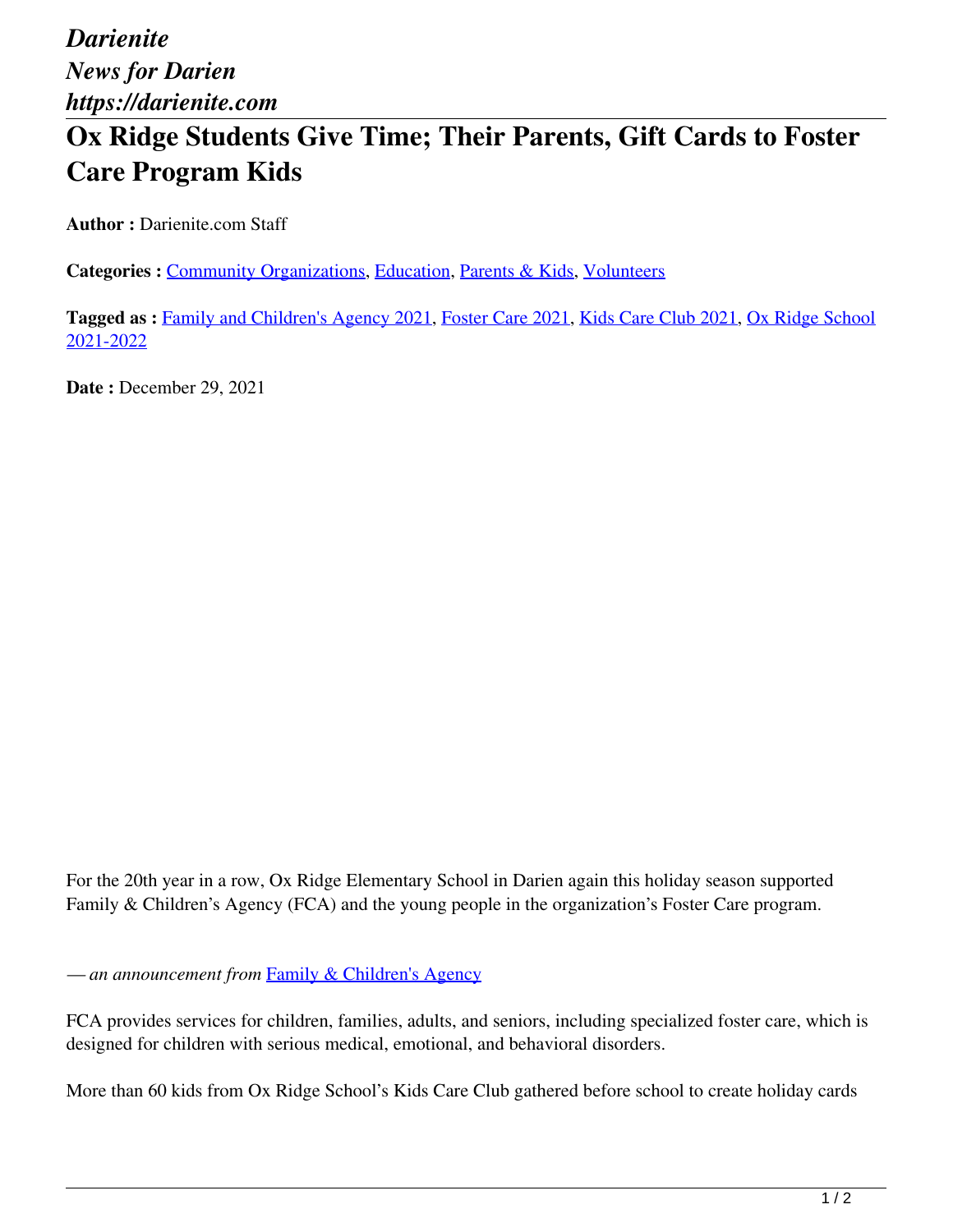## **Ox Ridge Students Give Time; Their Parents, Gift Cards to Foster Care Program Kids**

**Author :** Darienite.com Staff

**Categories :** [Community Organizations,](https://darienite.com/category/news/community-organizations) Education, Parents & Kids, Volunteers

**Tagged as :** Family and Children's Agency 2021, Foster Care 2021, Kids Care Club 2021, Ox Ridge School 2021-2022

**Date :** December 29, 2021

For the 20th year in a row, Ox Ridge Elementary School in Darien again this holiday season supported Family & Children's Agency (FCA) and the young people in the organization's Foster Care program.

*— an announcement from* Family & Children's Agency

FCA provides services for children, families, adults, and seniors, including specialized foster care, which is designed for children with serious medical, emotional, and behavioral disorders.

More than 60 kids from Ox Ridge School's Kids Care Club gathered before school to create holiday cards